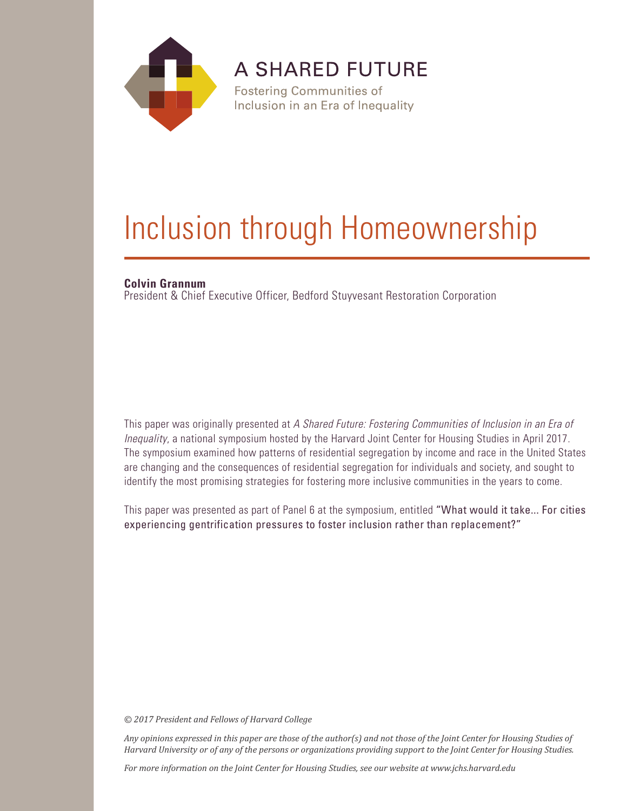

**A SHARED FUTURE** 

**Fostering Communities of** Inclusion in an Era of Inequality

# Inclusion through Homeownership

# **Colvin Grannum**

President & Chief Executive Officer, Bedford Stuyvesant Restoration Corporation

This paper was originally presented at *A Shared Future: Fostering Communities of Inclusion in an Era of Inequality*, a national symposium hosted by the Harvard Joint Center for Housing Studies in April 2017. The symposium examined how patterns of residential segregation by income and race in the United States are changing and the consequences of residential segregation for individuals and society, and sought to identify the most promising strategies for fostering more inclusive communities in the years to come.

This paper was presented as part of Panel 6 at the symposium, entitled "What would it take... For cities experiencing gentrification pressures to foster inclusion rather than replacement?"

*© 2017 President and Fellows of Harvard College*

*Any opinions expressed in this paper are those of the author(s) and not those of the Joint Center for Housing Studies of Harvard University or of any of the persons or organizations providing support to the Joint Center for Housing Studies.* 

*For more information on the Joint Center for Housing Studies, see our website at www.jchs.harvard.edu*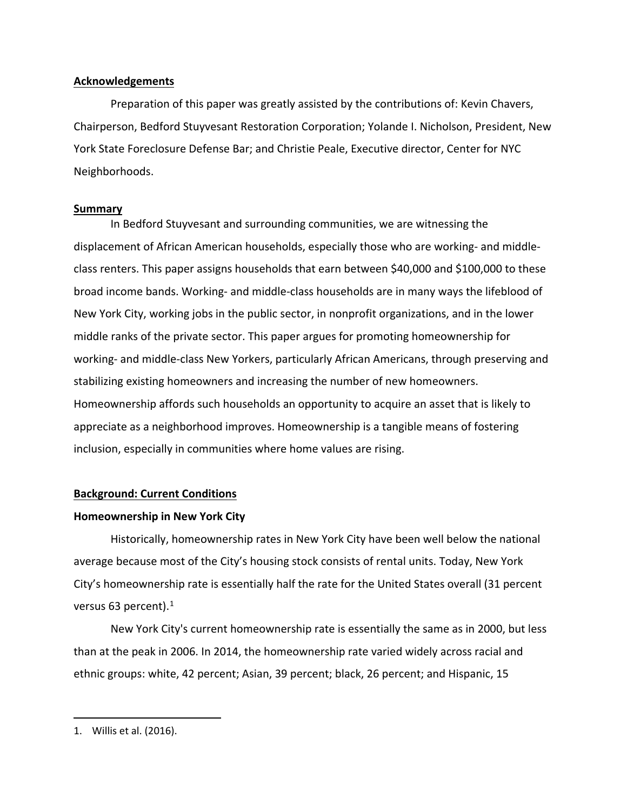## **Acknowledgements**

Preparation of this paper was greatly assisted by the contributions of: Kevin Chavers, Chairperson, Bedford Stuyvesant Restoration Corporation; Yolande I. Nicholson, President, New York State Foreclosure Defense Bar; and Christie Peale, Executive director, Center for NYC Neighborhoods.

## **Summary**

In Bedford Stuyvesant and surrounding communities, we are witnessing the displacement of African American households, especially those who are working- and middleclass renters. This paper assigns households that earn between \$40,000 and \$100,000 to these broad income bands. Working- and middle-class households are in many ways the lifeblood of New York City, working jobs in the public sector, in nonprofit organizations, and in the lower middle ranks of the private sector. This paper argues for promoting homeownership for working- and middle-class New Yorkers, particularly African Americans, through preserving and stabilizing existing homeowners and increasing the number of new homeowners. Homeownership affords such households an opportunity to acquire an asset that is likely to appreciate as a neighborhood improves. Homeownership is a tangible means of fostering inclusion, especially in communities where home values are rising.

# **Background: Current Conditions**

# **Homeownership in New York City**

Historically, homeownership rates in New York City have been well below the national average because most of the City's housing stock consists of rental units. Today, New York City's homeownership rate is essentially half the rate for the United States overall (31 percent versus 63 percent).<sup>[1](#page-2-0)</sup>

New York City's current homeownership rate is essentially the same as in 2000, but less than at the peak in 2006. In 2014, the homeownership rate varied widely across racial and ethnic groups: white, 42 percent; Asian, 39 percent; black, 26 percent; and Hispanic, 15

<span id="page-2-0"></span><sup>1.</sup> Willis et al. (2016).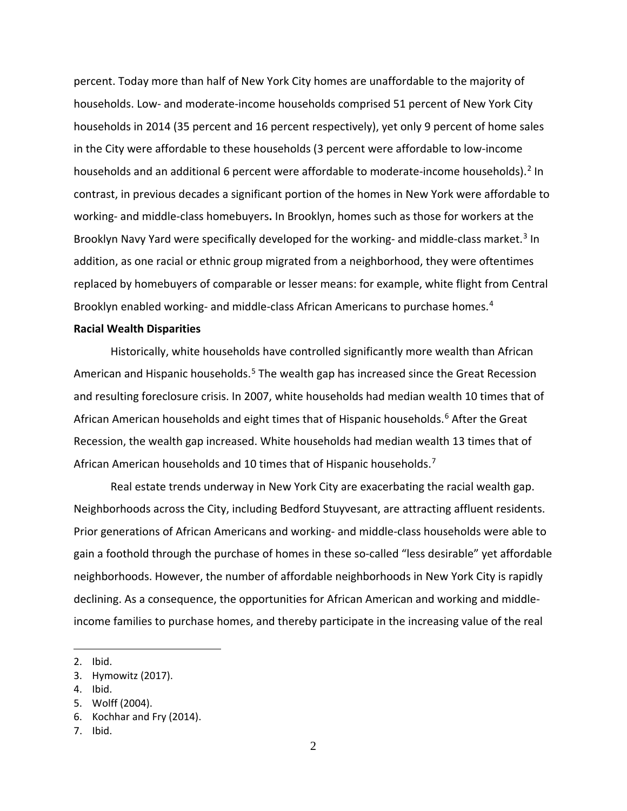percent. Today more than half of New York City homes are unaffordable to the majority of households. Low- and moderate-income households comprised 51 percent of New York City households in 2014 (35 percent and 16 percent respectively), yet only 9 percent of home sales in the City were affordable to these households (3 percent were affordable to low-income households and an additional 6 percent were affordable to moderate-income households).<sup>[2](#page-3-0)</sup> In contrast, in previous decades a significant portion of the homes in New York were affordable to working- and middle-class homebuyers**.** In Brooklyn, homes such as those for workers at the Brooklyn Navy Yard were specifically developed for the working- and middle-class market. [3](#page-3-1) In addition, as one racial or ethnic group migrated from a neighborhood, they were oftentimes replaced by homebuyers of comparable or lesser means: for example, white flight from Central Brooklyn enabled working- and middle-class African Americans to purchase homes. [4](#page-3-2)

#### **Racial Wealth Disparities**

Historically, white households have controlled significantly more wealth than African American and Hispanic households.<sup>[5](#page-3-3)</sup> The wealth gap has increased since the Great Recession and resulting foreclosure crisis. In 2007, white households had median wealth 10 times that of African American households and eight times that of Hispanic households.<sup>[6](#page-3-4)</sup> After the Great Recession, the wealth gap increased. White households had median wealth 13 times that of African American households and 10 times that of Hispanic households.<sup>[7](#page-3-5)</sup>

Real estate trends underway in New York City are exacerbating the racial wealth gap. Neighborhoods across the City, including Bedford Stuyvesant, are attracting affluent residents. Prior generations of African Americans and working- and middle-class households were able to gain a foothold through the purchase of homes in these so-called "less desirable" yet affordable neighborhoods. However, the number of affordable neighborhoods in New York City is rapidly declining. As a consequence, the opportunities for African American and working and middleincome families to purchase homes, and thereby participate in the increasing value of the real

<span id="page-3-0"></span><sup>2.</sup> Ibid.

<span id="page-3-1"></span><sup>3.</sup> Hymowitz (2017).

<span id="page-3-2"></span><sup>4.</sup> Ibid.

<span id="page-3-3"></span><sup>5.</sup> Wolff (2004).

<span id="page-3-4"></span><sup>6.</sup> Kochhar and Fry (2014).

<span id="page-3-5"></span><sup>7.</sup> Ibid.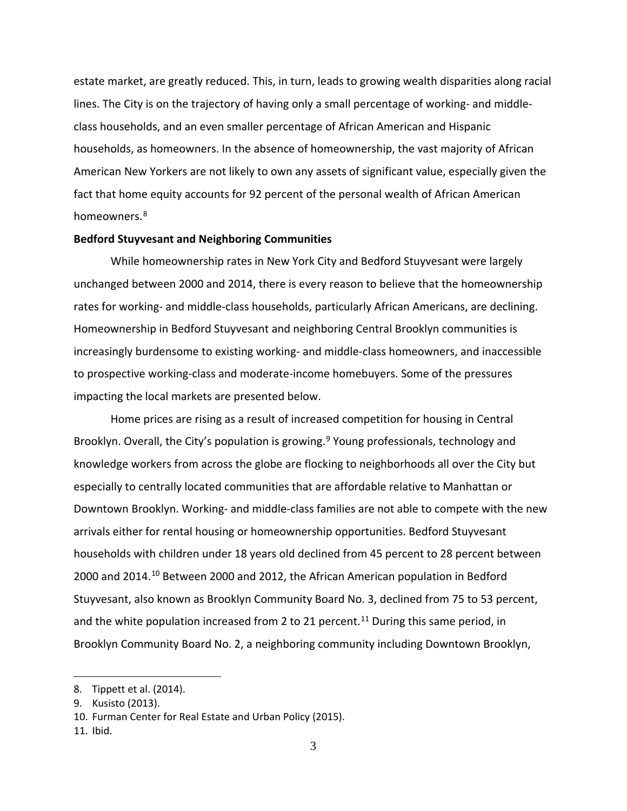estate market, are greatly reduced. This, in turn, leads to growing wealth disparities along racial lines. The City is on the trajectory of having only a small percentage of working- and middleclass households, and an even smaller percentage of African American and Hispanic households, as homeowners. In the absence of homeownership, the vast majority of African American New Yorkers are not likely to own any assets of significant value, especially given the fact that home equity accounts for 92 percent of the personal wealth of African American homeowners.<sup>[8](#page-4-0)</sup>

### **Bedford Stuyvesant and Neighboring Communities**

While homeownership rates in New York City and Bedford Stuyvesant were largely unchanged between 2000 and 2014, there is every reason to believe that the homeownership rates for working- and middle-class households, particularly African Americans, are declining. Homeownership in Bedford Stuyvesant and neighboring Central Brooklyn communities is increasingly burdensome to existing working- and middle-class homeowners, and inaccessible to prospective working-class and moderate-income homebuyers. Some of the pressures impacting the local markets are presented below.

Home prices are rising as a result of increased competition for housing in Central Brooklyn. Overall, the City's population is growing.<sup>[9](#page-4-1)</sup> Young professionals, technology and knowledge workers from across the globe are flocking to neighborhoods all over the City but especially to centrally located communities that are affordable relative to Manhattan or Downtown Brooklyn. Working- and middle-class families are not able to compete with the new arrivals either for rental housing or homeownership opportunities. Bedford Stuyvesant households with children under 18 years old declined from 45 percent to 28 percent between 2000 and 2014. [10](#page-4-2) Between 2000 and 2012, the African American population in Bedford Stuyvesant, also known as Brooklyn Community Board No. 3, declined from 75 to 53 percent, and the white population increased from 2 to 21 percent.<sup>[11](#page-4-3)</sup> During this same period, in Brooklyn Community Board No. 2, a neighboring community including Downtown Brooklyn,

<span id="page-4-0"></span><sup>8.</sup> Tippett et al. (2014).

<span id="page-4-1"></span><sup>9.</sup> Kusisto (2013).

<span id="page-4-2"></span><sup>10.</sup> Furman Center for Real Estate and Urban Policy (2015).

<span id="page-4-3"></span><sup>11.</sup> Ibid.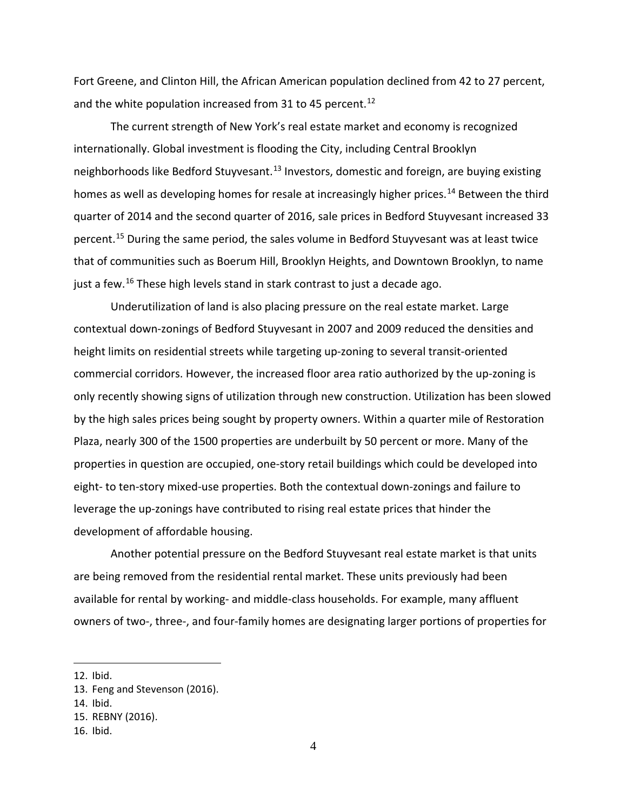Fort Greene, and Clinton Hill, the African American population declined from 42 to 27 percent, and the white population increased from 31 to 45 percent.<sup>[12](#page-5-0)</sup>

The current strength of New York's real estate market and economy is recognized internationally. Global investment is flooding the City, including Central Brooklyn neighborhoods like Bedford Stuyvesant.<sup>[13](#page-5-1)</sup> Investors, domestic and foreign, are buying existing homes as well as developing homes for resale at increasingly higher prices.<sup>[14](#page-5-2)</sup> Between the third quarter of 2014 and the second quarter of 2016, sale prices in Bedford Stuyvesant increased 33 percent. [15](#page-5-3) During the same period, the sales volume in Bedford Stuyvesant was at least twice that of communities such as Boerum Hill, Brooklyn Heights, and Downtown Brooklyn, to name just a few.<sup>[16](#page-5-4)</sup> These high levels stand in stark contrast to just a decade ago.

Underutilization of land is also placing pressure on the real estate market. Large contextual down-zonings of Bedford Stuyvesant in 2007 and 2009 reduced the densities and height limits on residential streets while targeting up-zoning to several transit-oriented commercial corridors. However, the increased floor area ratio authorized by the up-zoning is only recently showing signs of utilization through new construction. Utilization has been slowed by the high sales prices being sought by property owners. Within a quarter mile of Restoration Plaza, nearly 300 of the 1500 properties are underbuilt by 50 percent or more. Many of the properties in question are occupied, one-story retail buildings which could be developed into eight- to ten-story mixed-use properties. Both the contextual down-zonings and failure to leverage the up-zonings have contributed to rising real estate prices that hinder the development of affordable housing.

Another potential pressure on the Bedford Stuyvesant real estate market is that units are being removed from the residential rental market. These units previously had been available for rental by working- and middle-class households. For example, many affluent owners of two-, three-, and four-family homes are designating larger portions of properties for

<span id="page-5-0"></span><sup>12.</sup> Ibid.

<span id="page-5-1"></span><sup>13.</sup> Feng and Stevenson (2016).

<span id="page-5-2"></span><sup>14.</sup> Ibid.

<span id="page-5-3"></span><sup>15.</sup> REBNY (2016).

<span id="page-5-4"></span><sup>16.</sup> Ibid.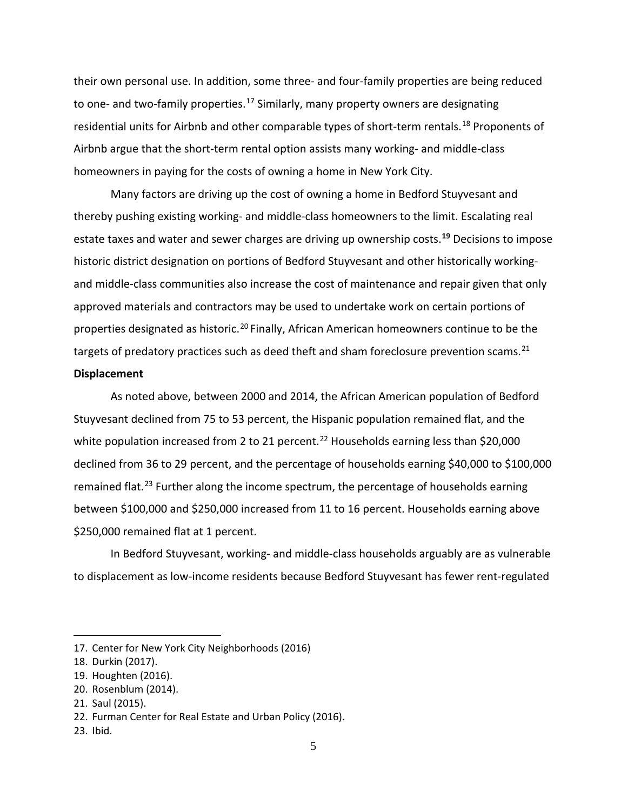their own personal use. In addition, some three- and four-family properties are being reduced to one- and two-family properties.<sup>[17](#page-6-0)</sup> Similarly, many property owners are designating residential units for Airbnb and other comparable types of short-term rentals.<sup>[18](#page-6-1)</sup> Proponents of Airbnb argue that the short-term rental option assists many working- and middle-class homeowners in paying for the costs of owning a home in New York City.

Many factors are driving up the cost of owning a home in Bedford Stuyvesant and thereby pushing existing working- and middle-class homeowners to the limit. Escalating real estate taxes and water and sewer charges are driving up ownership costs. **[19](#page-6-2)** Decisions to impose historic district designation on portions of Bedford Stuyvesant and other historically workingand middle-class communities also increase the cost of maintenance and repair given that only approved materials and contractors may be used to undertake work on certain portions of properties designated as historic.<sup>[20](#page-6-3)</sup> Finally, African American homeowners continue to be the targets of predatory practices such as deed theft and sham foreclosure prevention scams.<sup>[21](#page-6-4)</sup>

## **Displacement**

As noted above, between 2000 and 2014, the African American population of Bedford Stuyvesant declined from 75 to 53 percent, the Hispanic population remained flat, and the white population increased from 2 to 21 percent.<sup>[22](#page-6-5)</sup> Households earning less than \$20,000 declined from 36 to 29 percent, and the percentage of households earning \$40,000 to \$100,000 remained flat.<sup>[23](#page-6-6)</sup> Further along the income spectrum, the percentage of households earning between \$100,000 and \$250,000 increased from 11 to 16 percent. Households earning above \$250,000 remained flat at 1 percent.

In Bedford Stuyvesant, working- and middle-class households arguably are as vulnerable to displacement as low-income residents because Bedford Stuyvesant has fewer rent-regulated

<span id="page-6-0"></span><sup>17.</sup> Center for New York City Neighborhoods (2016)

<span id="page-6-1"></span><sup>18.</sup> Durkin (2017).

<span id="page-6-2"></span><sup>19.</sup> Houghten (2016).

<span id="page-6-3"></span><sup>20.</sup> Rosenblum (2014).

<span id="page-6-4"></span><sup>21.</sup> Saul (2015).

<span id="page-6-5"></span><sup>22.</sup> Furman Center for Real Estate and Urban Policy (2016).

<span id="page-6-6"></span><sup>23.</sup> Ibid.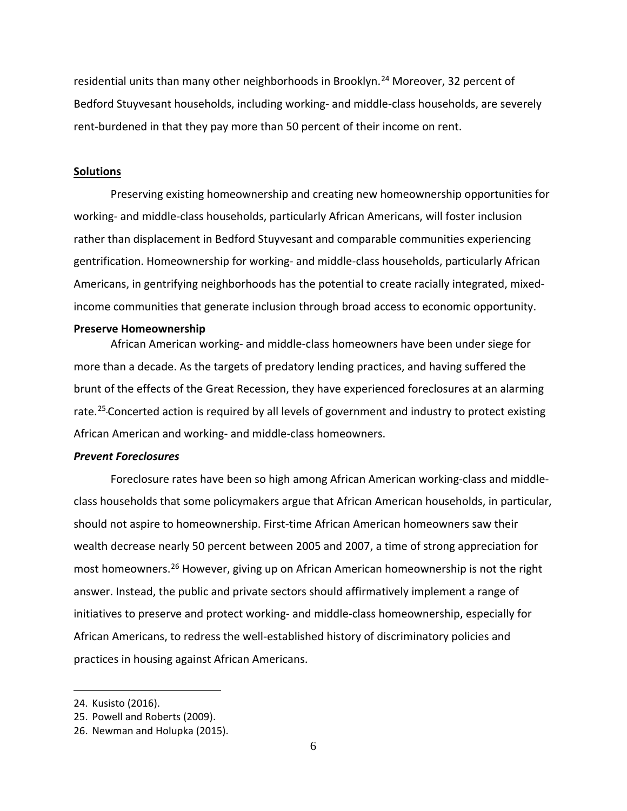residential units than many other neighborhoods in Brooklyn.<sup>[24](#page-7-0)</sup> Moreover, 32 percent of Bedford Stuyvesant households, including working- and middle-class households, are severely rent-burdened in that they pay more than 50 percent of their income on rent.

#### **Solutions**

Preserving existing homeownership and creating new homeownership opportunities for working- and middle-class households, particularly African Americans, will foster inclusion rather than displacement in Bedford Stuyvesant and comparable communities experiencing gentrification. Homeownership for working- and middle-class households, particularly African Americans, in gentrifying neighborhoods has the potential to create racially integrated, mixedincome communities that generate inclusion through broad access to economic opportunity.

#### **Preserve Homeownership**

African American working- and middle-class homeowners have been under siege for more than a decade. As the targets of predatory lending practices, and having suffered the brunt of the effects of the Great Recession, they have experienced foreclosures at an alarming rate.<sup>[25](#page-7-1)</sup> Concerted action is required by all levels of government and industry to protect existing African American and working- and middle-class homeowners.

## *Prevent Foreclosures*

Foreclosure rates have been so high among African American working-class and middleclass households that some policymakers argue that African American households, in particular, should not aspire to homeownership. First-time African American homeowners saw their wealth decrease nearly 50 percent between 2005 and 2007, a time of strong appreciation for most homeowners.<sup>[26](#page-7-2)</sup> However, giving up on African American homeownership is not the right answer. Instead, the public and private sectors should affirmatively implement a range of initiatives to preserve and protect working- and middle-class homeownership, especially for African Americans, to redress the well-established history of discriminatory policies and practices in housing against African Americans.

<span id="page-7-0"></span><sup>24.</sup> Kusisto (2016).

<span id="page-7-1"></span><sup>25.</sup> Powell and Roberts (2009).

<span id="page-7-2"></span><sup>26.</sup> Newman and Holupka (2015).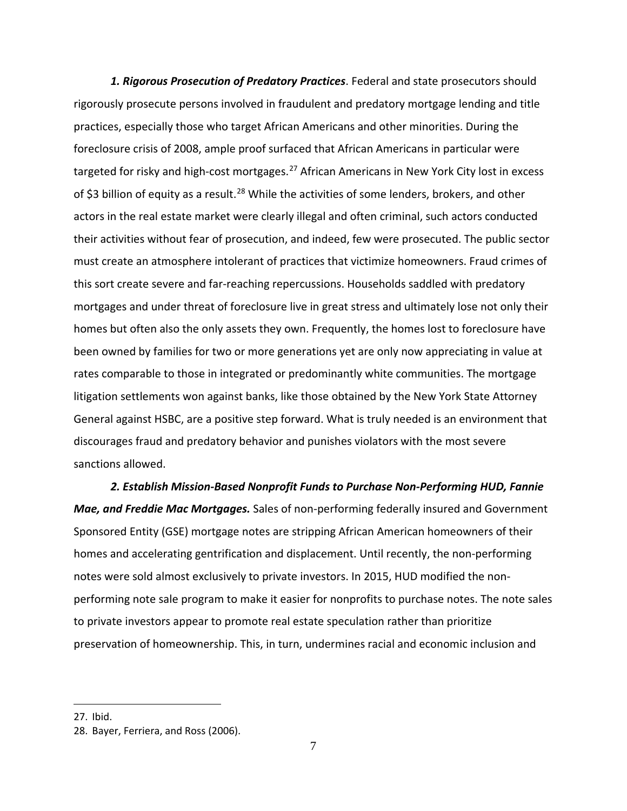*1. Rigorous Prosecution of Predatory Practices*. Federal and state prosecutors should rigorously prosecute persons involved in fraudulent and predatory mortgage lending and title practices, especially those who target African Americans and other minorities. During the foreclosure crisis of 2008, ample proof surfaced that African Americans in particular were targeted for risky and high-cost mortgages.<sup>[27](#page-8-0)</sup> African Americans in New York City lost in excess of \$3 billion of equity as a result.<sup>[28](#page-8-1)</sup> While the activities of some lenders, brokers, and other actors in the real estate market were clearly illegal and often criminal, such actors conducted their activities without fear of prosecution, and indeed, few were prosecuted. The public sector must create an atmosphere intolerant of practices that victimize homeowners. Fraud crimes of this sort create severe and far-reaching repercussions. Households saddled with predatory mortgages and under threat of foreclosure live in great stress and ultimately lose not only their homes but often also the only assets they own. Frequently, the homes lost to foreclosure have been owned by families for two or more generations yet are only now appreciating in value at rates comparable to those in integrated or predominantly white communities. The mortgage litigation settlements won against banks, like those obtained by the New York State Attorney General against HSBC, are a positive step forward. What is truly needed is an environment that discourages fraud and predatory behavior and punishes violators with the most severe sanctions allowed.

*2. Establish Mission-Based Nonprofit Funds to Purchase Non-Performing HUD, Fannie Mae, and Freddie Mac Mortgages.* Sales of non-performing federally insured and Government Sponsored Entity (GSE) mortgage notes are stripping African American homeowners of their homes and accelerating gentrification and displacement. Until recently, the non-performing notes were sold almost exclusively to private investors. In 2015, HUD modified the nonperforming note sale program to make it easier for nonprofits to purchase notes. The note sales to private investors appear to promote real estate speculation rather than prioritize preservation of homeownership. This, in turn, undermines racial and economic inclusion and

<span id="page-8-0"></span><sup>27.</sup> Ibid.

<span id="page-8-1"></span><sup>28.</sup> Bayer, Ferriera, and Ross (2006).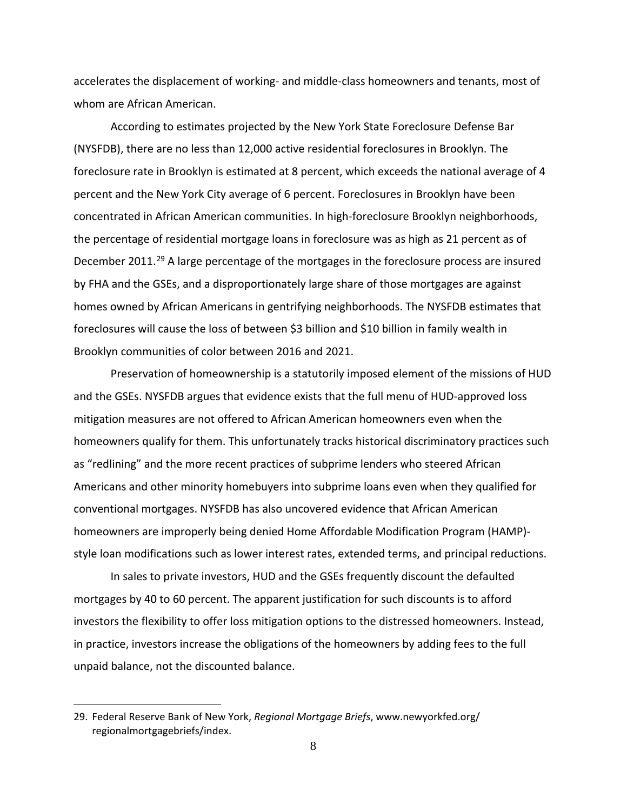accelerates the displacement of working- and middle-class homeowners and tenants, most of whom are African American.

According to estimates projected by the New York State Foreclosure Defense Bar (NYSFDB), there are no less than 12,000 active residential foreclosures in Brooklyn. The foreclosure rate in Brooklyn is estimated at 8 percent, which exceeds the national average of 4 percent and the New York City average of 6 percent. Foreclosures in Brooklyn have been concentrated in African American communities. In high-foreclosure Brooklyn neighborhoods, the percentage of residential mortgage loans in foreclosure was as high as 21 percent as of December 2011.<sup>[29](#page-9-0)</sup> A large percentage of the mortgages in the foreclosure process are insured by FHA and the GSEs, and a disproportionately large share of those mortgages are against homes owned by African Americans in gentrifying neighborhoods. The NYSFDB estimates that foreclosures will cause the loss of between \$3 billion and \$10 billion in family wealth in Brooklyn communities of color between 2016 and 2021.

Preservation of homeownership is a statutorily imposed element of the missions of HUD and the GSEs. NYSFDB argues that evidence exists that the full menu of HUD-approved loss mitigation measures are not offered to African American homeowners even when the homeowners qualify for them. This unfortunately tracks historical discriminatory practices such as "redlining" and the more recent practices of subprime lenders who steered African Americans and other minority homebuyers into subprime loans even when they qualified for conventional mortgages. NYSFDB has also uncovered evidence that African American homeowners are improperly being denied Home Affordable Modification Program (HAMP) style loan modifications such as lower interest rates, extended terms, and principal reductions.

In sales to private investors, HUD and the GSEs frequently discount the defaulted mortgages by 40 to 60 percent. The apparent justification for such discounts is to afford investors the flexibility to offer loss mitigation options to the distressed homeowners. Instead, in practice, investors increase the obligations of the homeowners by adding fees to the full unpaid balance, not the discounted balance.

<span id="page-9-0"></span><sup>29.</sup> Federal Reserve Bank of New York, *Regional Mortgage Briefs*, www.newyorkfed.org/ regionalmortgagebriefs/index.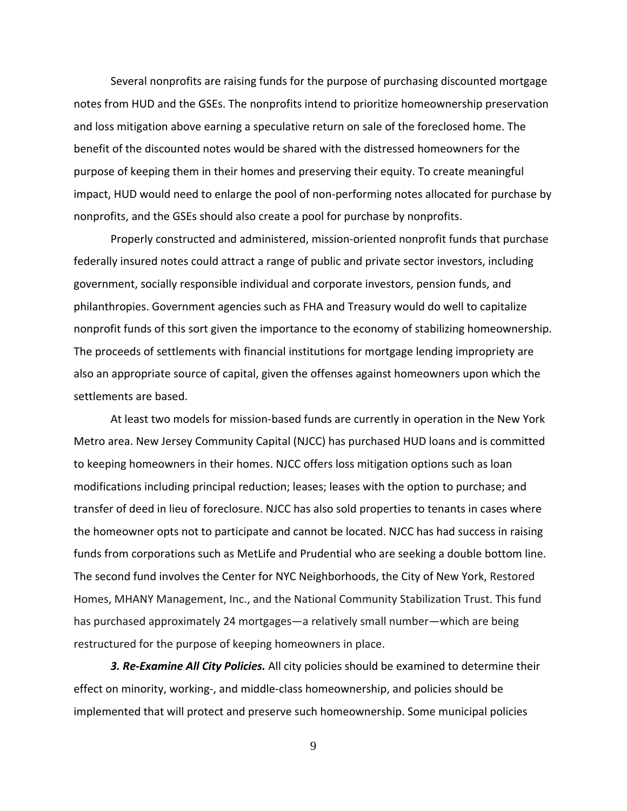Several nonprofits are raising funds for the purpose of purchasing discounted mortgage notes from HUD and the GSEs. The nonprofits intend to prioritize homeownership preservation and loss mitigation above earning a speculative return on sale of the foreclosed home. The benefit of the discounted notes would be shared with the distressed homeowners for the purpose of keeping them in their homes and preserving their equity. To create meaningful impact, HUD would need to enlarge the pool of non-performing notes allocated for purchase by nonprofits, and the GSEs should also create a pool for purchase by nonprofits.

Properly constructed and administered, mission-oriented nonprofit funds that purchase federally insured notes could attract a range of public and private sector investors, including government, socially responsible individual and corporate investors, pension funds, and philanthropies. Government agencies such as FHA and Treasury would do well to capitalize nonprofit funds of this sort given the importance to the economy of stabilizing homeownership. The proceeds of settlements with financial institutions for mortgage lending impropriety are also an appropriate source of capital, given the offenses against homeowners upon which the settlements are based.

At least two models for mission-based funds are currently in operation in the New York Metro area. New Jersey Community Capital (NJCC) has purchased HUD loans and is committed to keeping homeowners in their homes. NJCC offers loss mitigation options such as loan modifications including principal reduction; leases; leases with the option to purchase; and transfer of deed in lieu of foreclosure. NJCC has also sold properties to tenants in cases where the homeowner opts not to participate and cannot be located. NJCC has had success in raising funds from corporations such as MetLife and Prudential who are seeking a double bottom line. The second fund involves the Center for NYC Neighborhoods, the City of New York, Restored Homes, MHANY Management, Inc., and the National Community Stabilization Trust. This fund has purchased approximately 24 mortgages—a relatively small number—which are being restructured for the purpose of keeping homeowners in place.

*3. Re-Examine All City Policies.* All city policies should be examined to determine their effect on minority, working-, and middle-class homeownership, and policies should be implemented that will protect and preserve such homeownership. Some municipal policies

9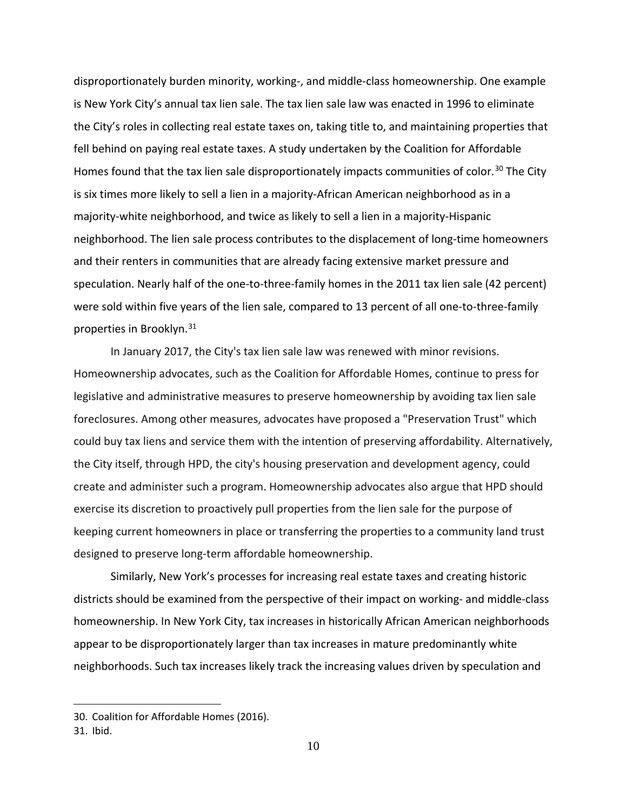disproportionately burden minority, working-, and middle-class homeownership. One example is New York City's annual tax lien sale. The tax lien sale law was enacted in 1996 to eliminate the City's roles in collecting real estate taxes on, taking title to, and maintaining properties that fell behind on paying real estate taxes. A study undertaken by the Coalition for Affordable Homes found that the tax lien sale disproportionately impacts communities of color.<sup>[30](#page-11-0)</sup> The City is six times more likely to sell a lien in a majority-African American neighborhood as in a majority-white neighborhood, and twice as likely to sell a lien in a majority-Hispanic neighborhood. The lien sale process contributes to the displacement of long-time homeowners and their renters in communities that are already facing extensive market pressure and speculation. Nearly half of the one-to-three-family homes in the 2011 tax lien sale (42 percent) were sold within five years of the lien sale, compared to 13 percent of all one-to-three-family properties in Brooklyn. [31](#page-11-1)

In January 2017, the City's tax lien sale law was renewed with minor revisions. Homeownership advocates, such as the Coalition for Affordable Homes, continue to press for legislative and administrative measures to preserve homeownership by avoiding tax lien sale foreclosures. Among other measures, advocates have proposed a "Preservation Trust" which could buy tax liens and service them with the intention of preserving affordability. Alternatively, the City itself, through HPD, the city's housing preservation and development agency, could create and administer such a program. Homeownership advocates also argue that HPD should exercise its discretion to proactively pull properties from the lien sale for the purpose of keeping current homeowners in place or transferring the properties to a community land trust designed to preserve long-term affordable homeownership.

Similarly, New York's processes for increasing real estate taxes and creating historic districts should be examined from the perspective of their impact on working- and middle-class homeownership. In New York City, tax increases in historically African American neighborhoods appear to be disproportionately larger than tax increases in mature predominantly white neighborhoods. Such tax increases likely track the increasing values driven by speculation and

<span id="page-11-0"></span><sup>30.</sup> Coalition for Affordable Homes (2016).

<span id="page-11-1"></span><sup>31.</sup> Ibid.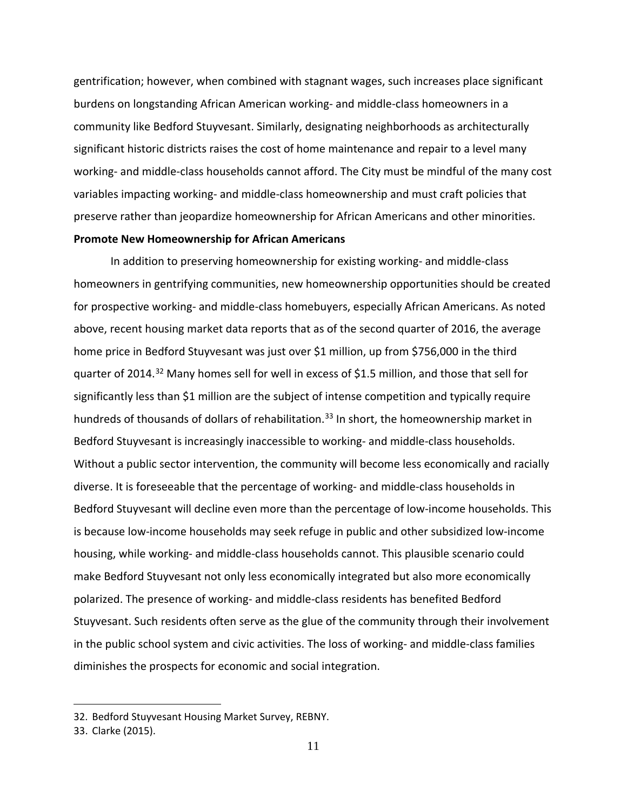gentrification; however, when combined with stagnant wages, such increases place significant burdens on longstanding African American working- and middle-class homeowners in a community like Bedford Stuyvesant. Similarly, designating neighborhoods as architecturally significant historic districts raises the cost of home maintenance and repair to a level many working- and middle-class households cannot afford. The City must be mindful of the many cost variables impacting working- and middle-class homeownership and must craft policies that preserve rather than jeopardize homeownership for African Americans and other minorities. **Promote New Homeownership for African Americans**

In addition to preserving homeownership for existing working- and middle-class homeowners in gentrifying communities, new homeownership opportunities should be created for prospective working- and middle-class homebuyers, especially African Americans. As noted above, recent housing market data reports that as of the second quarter of 2016, the average home price in Bedford Stuyvesant was just over \$1 million, up from \$756,000 in the third quarter of 2014.<sup>[32](#page-12-0)</sup> Many homes sell for well in excess of \$1.5 million, and those that sell for significantly less than \$1 million are the subject of intense competition and typically require hundreds of thousands of dollars of rehabilitation.<sup>[33](#page-12-1)</sup> In short, the homeownership market in Bedford Stuyvesant is increasingly inaccessible to working- and middle-class households. Without a public sector intervention, the community will become less economically and racially diverse. It is foreseeable that the percentage of working- and middle-class households in Bedford Stuyvesant will decline even more than the percentage of low-income households. This is because low-income households may seek refuge in public and other subsidized low-income housing, while working- and middle-class households cannot. This plausible scenario could make Bedford Stuyvesant not only less economically integrated but also more economically polarized. The presence of working- and middle-class residents has benefited Bedford Stuyvesant. Such residents often serve as the glue of the community through their involvement in the public school system and civic activities. The loss of working- and middle-class families diminishes the prospects for economic and social integration.

<span id="page-12-0"></span><sup>32.</sup> Bedford Stuyvesant Housing Market Survey, REBNY.

<span id="page-12-1"></span><sup>33.</sup> Clarke (2015).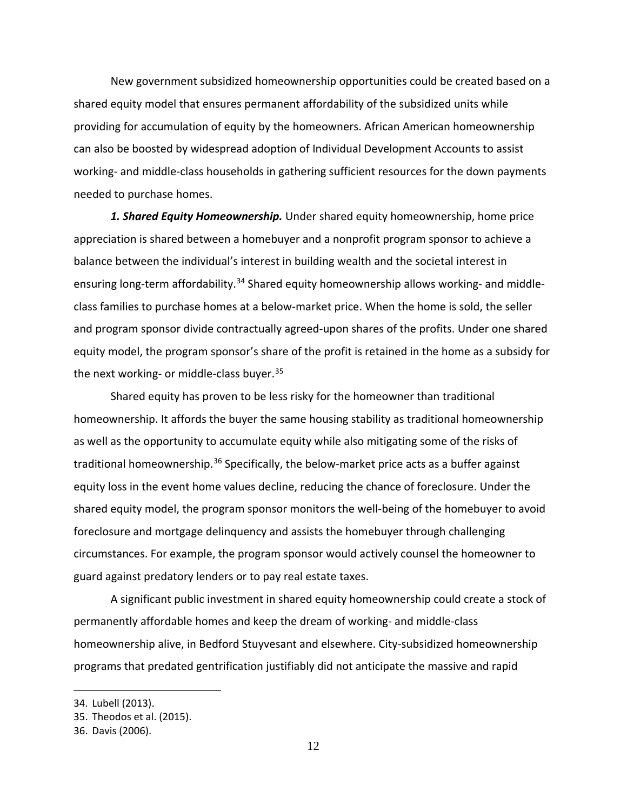New government subsidized homeownership opportunities could be created based on a shared equity model that ensures permanent affordability of the subsidized units while providing for accumulation of equity by the homeowners. African American homeownership can also be boosted by widespread adoption of Individual Development Accounts to assist working- and middle-class households in gathering sufficient resources for the down payments needed to purchase homes.

*1. Shared Equity Homeownership.* Under shared equity homeownership, home price appreciation is shared between a homebuyer and a nonprofit program sponsor to achieve a balance between the individual's interest in building wealth and the societal interest in ensuring long-term affordability.<sup>[34](#page-13-0)</sup> Shared equity homeownership allows working- and middleclass families to purchase homes at a below-market price. When the home is sold, the seller and program sponsor divide contractually agreed-upon shares of the profits. Under one shared equity model, the program sponsor's share of the profit is retained in the home as a subsidy for the next working- or middle-class buyer.  $35$ 

Shared equity has proven to be less risky for the homeowner than traditional homeownership. It affords the buyer the same housing stability as traditional homeownership as well as the opportunity to accumulate equity while also mitigating some of the risks of traditional homeownership.<sup>[36](#page-13-2)</sup> Specifically, the below-market price acts as a buffer against equity loss in the event home values decline, reducing the chance of foreclosure. Under the shared equity model, the program sponsor monitors the well-being of the homebuyer to avoid foreclosure and mortgage delinquency and assists the homebuyer through challenging circumstances. For example, the program sponsor would actively counsel the homeowner to guard against predatory lenders or to pay real estate taxes.

A significant public investment in shared equity homeownership could create a stock of permanently affordable homes and keep the dream of working- and middle-class homeownership alive, in Bedford Stuyvesant and elsewhere. City-subsidized homeownership programs that predated gentrification justifiably did not anticipate the massive and rapid

<span id="page-13-0"></span><sup>34.</sup> Lubell (2013).

<span id="page-13-1"></span><sup>35.</sup> Theodos et al. (2015).

<span id="page-13-2"></span><sup>36.</sup> Davis (2006).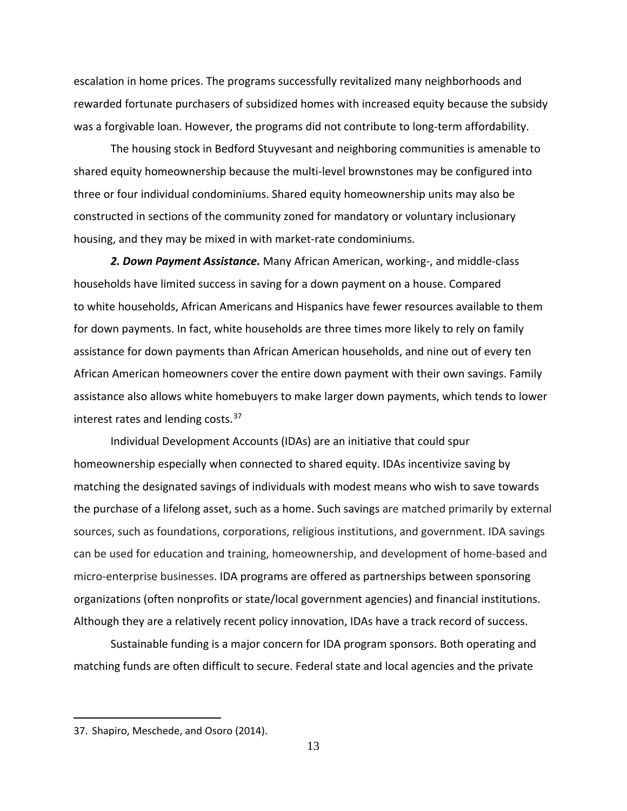escalation in home prices. The programs successfully revitalized many neighborhoods and rewarded fortunate purchasers of subsidized homes with increased equity because the subsidy was a forgivable loan. However, the programs did not contribute to long-term affordability.

The housing stock in Bedford Stuyvesant and neighboring communities is amenable to shared equity homeownership because the multi-level brownstones may be configured into three or four individual condominiums. Shared equity homeownership units may also be constructed in sections of the community zoned for mandatory or voluntary inclusionary housing, and they may be mixed in with market-rate condominiums.

*2. Down Payment Assistance.* Many African American, working-, and middle-class households have limited success in saving for a down payment on a house. Compared to white households, African Americans and Hispanics have fewer resources available to them for down payments. In fact, white households are three times more likely to rely on family assistance for down payments than African American households, and nine out of every ten African American homeowners cover the entire down payment with their own savings. Family assistance also allows white homebuyers to make larger down payments, which tends to lower interest rates and lending costs.<sup>[37](#page-14-0)</sup>

Individual Development Accounts (IDAs) are an initiative that could spur homeownership especially when connected to shared equity. IDAs incentivize saving by matching the designated savings of individuals with modest means who wish to save towards the purchase of a lifelong asset, such as a home. Such savings are matched primarily by external sources, such as foundations, corporations, religious institutions, and government. IDA savings can be used for education and training, homeownership, and development of home-based and micro-enterprise businesses. IDA programs are offered as partnerships between sponsoring organizations (often nonprofits or state/local government agencies) and financial institutions. Although they are a relatively recent policy innovation, IDAs have a track record of success.

Sustainable funding is a major concern for IDA program sponsors. Both operating and matching funds are often difficult to secure. Federal state and local agencies and the private

<span id="page-14-0"></span><sup>37.</sup> Shapiro, Meschede, and Osoro (2014).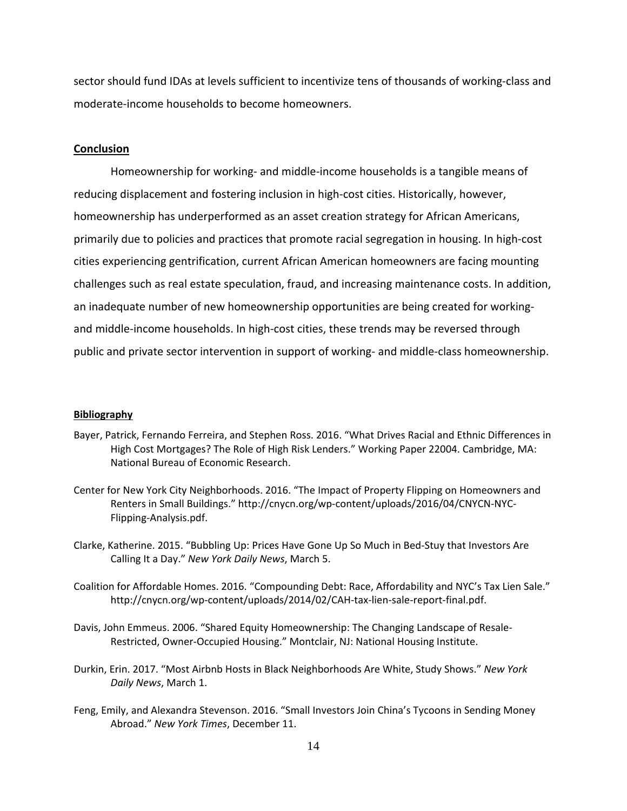sector should fund IDAs at levels sufficient to incentivize tens of thousands of working-class and moderate-income households to become homeowners.

#### **Conclusion**

Homeownership for working- and middle-income households is a tangible means of reducing displacement and fostering inclusion in high-cost cities. Historically, however, homeownership has underperformed as an asset creation strategy for African Americans, primarily due to policies and practices that promote racial segregation in housing. In high-cost cities experiencing gentrification, current African American homeowners are facing mounting challenges such as real estate speculation, fraud, and increasing maintenance costs. In addition, an inadequate number of new homeownership opportunities are being created for workingand middle-income households. In high-cost cities, these trends may be reversed through public and private sector intervention in support of working- and middle-class homeownership.

#### **Bibliography**

- Bayer, Patrick, Fernando Ferreira, and Stephen Ross. 2016. "What Drives Racial and Ethnic Differences in High Cost Mortgages? The Role of High Risk Lenders." Working Paper 22004. Cambridge, MA: National Bureau of Economic Research.
- Center for New York City Neighborhoods. 2016. "The Impact of Property Flipping on Homeowners and Renters in Small Buildings." [http://cnycn.org/wp-content/uploads/2016/04/CNYCN-NYC-](http://cnycn.org/wp-content/uploads/2016/04/CNYCN-NYC-Flipping-Analysis.pdf)[Flipping-Analysis.pdf.](http://cnycn.org/wp-content/uploads/2016/04/CNYCN-NYC-Flipping-Analysis.pdf)
- Clarke, Katherine. 2015. "Bubbling Up: Prices Have Gone Up So Much in Bed-Stuy that Investors Are Calling It a Day." *New York Daily News*, March 5.
- Coalition for Affordable Homes. 2016. "Compounding Debt: Race, Affordability and NYC's Tax Lien Sale." http://cnycn.org/wp-content/uploads/2014/02/CAH-tax-lien-sale-report-final.pdf.
- Davis, John Emmeus. 2006. "Shared Equity Homeownership: The Changing Landscape of Resale-Restricted, Owner-Occupied Housing." Montclair, NJ: National Housing Institute.
- Durkin, Erin. 2017. "Most Airbnb Hosts in Black Neighborhoods Are White, Study Shows." *New York Daily News*, March 1.
- Feng, Emily, and Alexandra Stevenson. 2016. "Small Investors Join China's Tycoons in Sending Money Abroad." *New York Times*, December 11.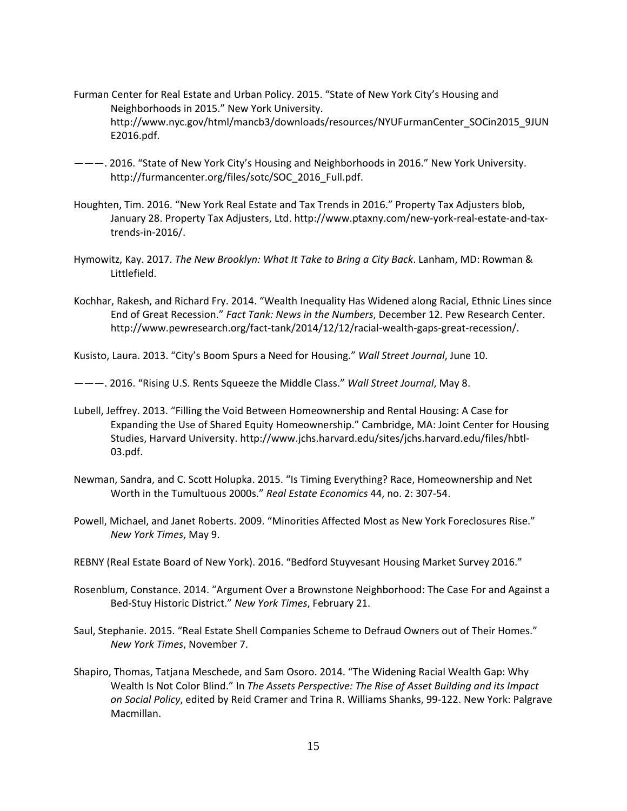- Furman Center for Real Estate and Urban Policy. 2015. "State of New York City's Housing and Neighborhoods in 2015." New York University. http://www.nyc.gov/html/mancb3/downloads/resources/NYUFurmanCenter\_SOCin2015\_9JUN E2016.pdf.
- ———. 2016. "State of New York City's Housing and Neighborhoods in 2016." New York University. http://furmancenter.org/files/sotc/SOC\_2016\_Full.pdf.
- Houghten, Tim. 2016. "New York Real Estate and Tax Trends in 2016." Property Tax Adjusters blob, January 28. Property Tax Adjusters, Ltd. http://www.ptaxny.com/new-york-real-estate-and-taxtrends-in-2016/.
- Hymowitz, Kay. 2017. *The New Brooklyn: What It Take to Bring a City Back*. Lanham, MD: Rowman & Littlefield.
- Kochhar, Rakesh, and Richard Fry. 2014. "Wealth Inequality Has Widened along Racial, Ethnic Lines since End of Great Recession." *Fact Tank: News in the Numbers*, December 12. Pew Research Center. http://www.pewresearch.org/fact-tank/2014/12/12/racial-wealth-gaps-great-recession/.

Kusisto, Laura. 2013. "City's Boom Spurs a Need for Housing." *Wall Street Journal*, June 10.

———. 2016. "Rising U.S. Rents Squeeze the Middle Class." *Wall Street Journal*, May 8.

- Lubell, Jeffrey. 2013. "Filling the Void Between Homeownership and Rental Housing: A Case for Expanding the Use of Shared Equity Homeownership." Cambridge, MA: Joint Center for Housing Studies, Harvard University. http://www.jchs.harvard.edu/sites/jchs.harvard.edu/files/hbtl-03.pdf.
- Newman, Sandra, and C. Scott Holupka. 2015. "Is Timing Everything? Race, Homeownership and Net Worth in the Tumultuous 2000s." *Real Estate Economics* 44, no. 2: 307-54.
- Powell, Michael, and Janet Roberts. 2009. "Minorities Affected Most as New York Foreclosures Rise." *New York Times*, May 9.
- REBNY (Real Estate Board of New York). 2016. "Bedford Stuyvesant Housing Market Survey 2016."
- Rosenblum, Constance. 2014. "Argument Over a Brownstone Neighborhood: The Case For and Against a Bed-Stuy Historic District." *New York Times*, February 21.
- Saul, Stephanie. 2015. "Real Estate Shell Companies Scheme to Defraud Owners out of Their Homes." *New York Times*, November 7.
- Shapiro, Thomas, Tatjana Meschede, and Sam Osoro. 2014. "The Widening Racial Wealth Gap: Why Wealth Is Not Color Blind." In *The Assets Perspective: The Rise of Asset Building and its Impact on Social Policy*, edited by Reid Cramer and Trina R. Williams Shanks, 99-122. New York: Palgrave Macmillan.